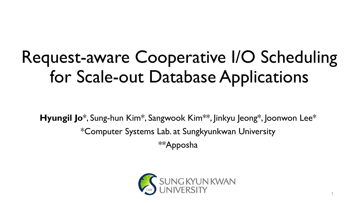## Request-aware Cooperative I/O Scheduling for Scale-out Database Applications

**Hyungil Jo**\*, Sung-hun Kim\*, Sangwook Kim\*\*, Jinkyu Jeong\*, Joonwon Lee\* \*Computer Systems Lab. at Sungkyunkwan University \*\*Apposha



1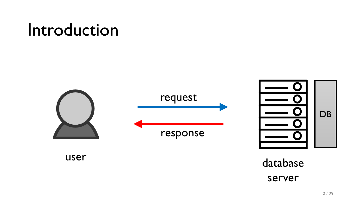### Introduction

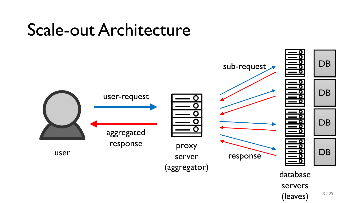### Scale-out Architecture

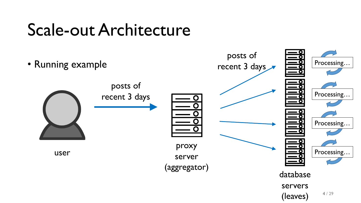### Scale-out Architecture

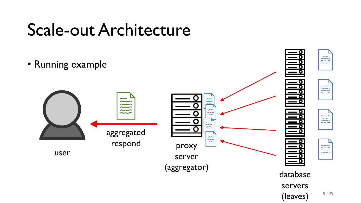### Scale-out Architecture

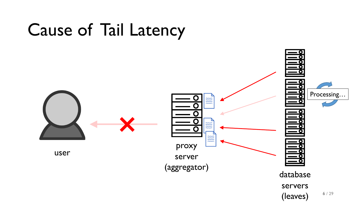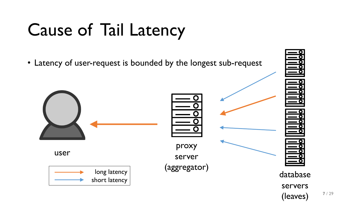## Cause of Tail Latency

• Latency of user-request is bounded by the longest sub-request







**7** / 29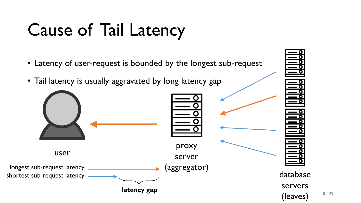## Cause of Tail Latency

• Latency of user-request is bounded by the longest sub-request

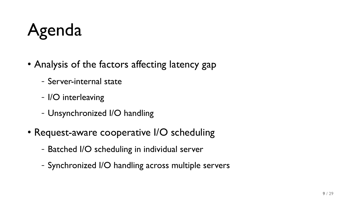## Agenda

- Analysis of the factors affecting latency gap
	- Server-internal state
	- I/O interleaving
	- Unsynchronized I/O handling
- Request-aware cooperative I/O scheduling
	- Batched I/O scheduling in individual server
	- Synchronized I/O handling across multiple servers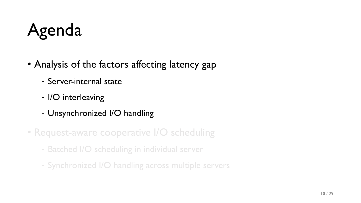## Agenda

- Analysis of the factors affecting latency gap
	- Server-internal state
	- I/O interleaving
	- Unsynchronized I/O handling
- Request-aware cooperative I/O scheduling
	- Batched I/O scheduling in individual server
	- Synchronized I/O handling across multiple servers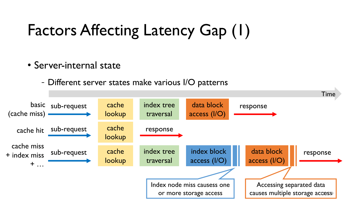### Factors Affecting Latency Gap (1)

#### • Server-internal state

- Different server states make various I/O patterns

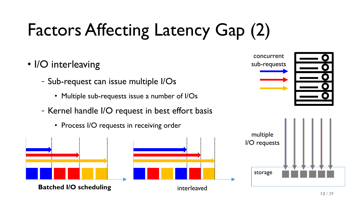# Factors Affecting Latency Gap (2)

- I/O interleaving
	- Sub-request can issue multiple I/Os
		- Multiple sub-requests issue a number of I/Os
	- Kernel handle I/O request in best effort basis
		- Process I/O requests in receiving order



concurrent

sub-requests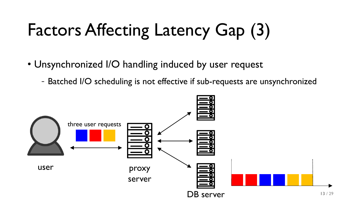## Factors Affecting Latency Gap (3)

- Unsynchronized I/O handling induced by user request
	- Batched I/O scheduling is not effective if sub-requests are unsynchronized

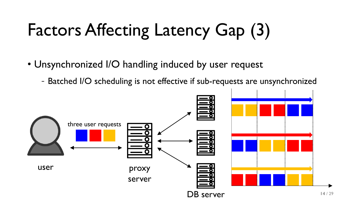## Factors Affecting Latency Gap (3)

- Unsynchronized I/O handling induced by user request
	- Batched I/O scheduling is not effective if sub-requests are unsynchronized

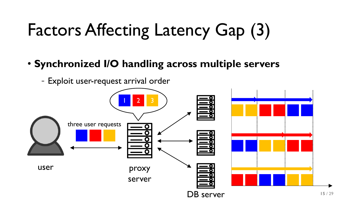## Factors Affecting Latency Gap (3)

#### • **Synchronized I/O handling across multiple servers**

- Exploit user-request arrival order

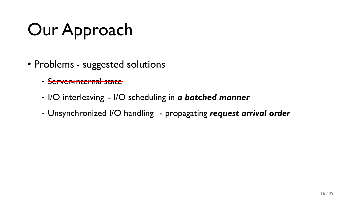## Our Approach

- Problems suggested solutions
	- Server-internal state
	- I/O interleaving I/O scheduling in *a batched manner*
	- Unsynchronized I/O handling propagating request arrival order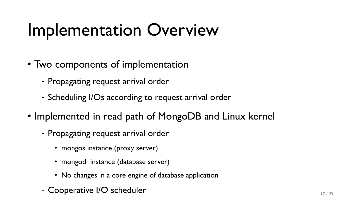### Implementation Overview

- Two components of implementation
	- Propagating request arrival order
	- Scheduling I/Os according to request arrival order
- Implemented in read path of MongoDB and Linux kernel
	- Propagating request arrival order
		- mongos instance (proxy server)
		- mongod instance (database server)
		- No changes in a core engine of database application
	- Cooperative I/O scheduler **17129**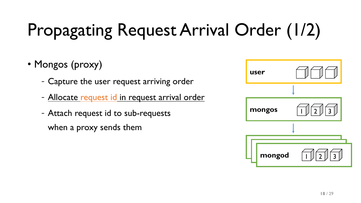# Propagating Request Arrival Order (1/2)

### • Mongos (proxy)

- Capture the user request arriving order
- Allocate request id in request arrival order
- Attach request id to sub-requests when a proxy sends them

| user   |                                                    |
|--------|----------------------------------------------------|
|        |                                                    |
| mongos | $\tilde{\mathbf{U}}_i$<br> 2                       |
|        |                                                    |
|        |                                                    |
| mongod | $\vert\vert$ 3<br>$\overline{1}$<br>$\overline{2}$ |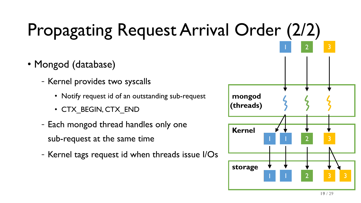## Propagating Request Arrival Order (2/2)

- Mongod (database)
	- Kernel provides two syscalls
		- Notify request id of an outstanding sub-request
		- CTX\_BEGIN, CTX\_END
	- Each mongod thread handles only one sub-request at the same time
	- Kernel tags request id when threads issue I/Os

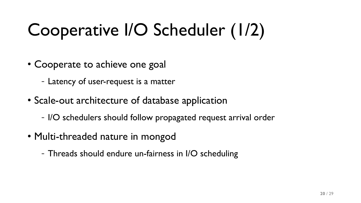## Cooperative I/O Scheduler (1/2)

- Cooperate to achieve one goal
	- Latency of user-request is a matter
- Scale-out architecture of database application
	- I/O schedulers should follow propagated request arrival order
- Multi-threaded nature in mongod
	- Threads should endure un-fairness in I/O scheduling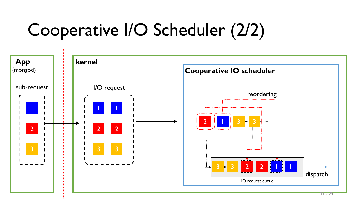## Cooperative I/O Scheduler (2/2)

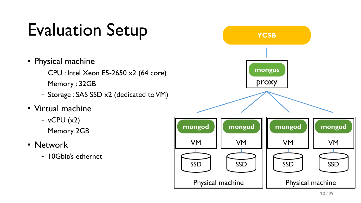## Evaluation Setup

- Physical machine
	- CPU : Intel Xeon E5-2650 x2 (64 core)
	- Memory : 32GB
	- Storage : SAS SSD x2 (dedicated to VM)
- Virtual machine
	- $-$  vCPU  $(x2)$
	- Memory 2GB
- Network
	- 10Gbit/s ethernet

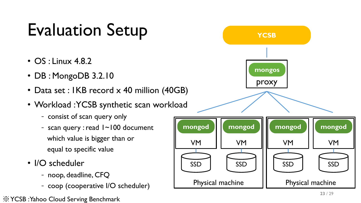### Evaluation Setup

- OS : Linux 4.8.2
- DB : MongoDB 3.2.10
- Data set : IKB record x 40 million (40GB)
- Workload : YCSB synthetic scan workload
	- consist of scan query only
	- scan query : read 1~100 document which value is bigger than or equal to specific value
- I/O scheduler
	- noop, deadline, CFQ
	- coop (cooperative I/O scheduler) Physical machine

※YCSB : Yahoo Cloud Serving Benchmark

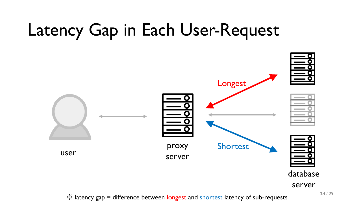### Latency Gap in Each User-Request

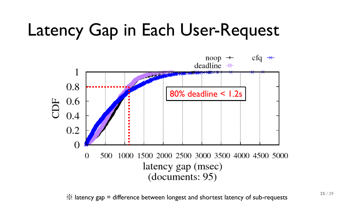### Latency Gap in Each User-Request



※ latency gap = difference between longest and shortest latency of sub-requests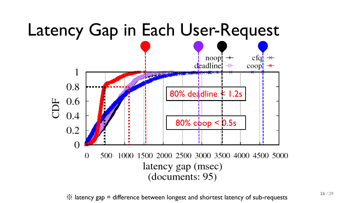

※ latency gap = difference between longest and shortest latency of sub-requests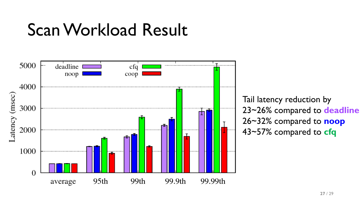### Scan Workload Result



Tail latency reduction by 23~26% compared to **deadline** 26~32% compared to **noop** 43~57% compared to **cfq**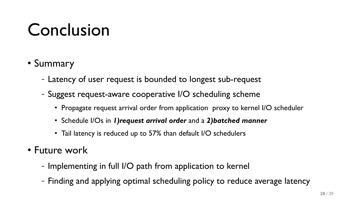### Conclusion

- Summary
	- Latency of user request is bounded to longest sub-request
	- Suggest request-aware cooperative I/O scheduling scheme
		- Propagate request arrival order from application proxy to kernel I/O scheduler
		- Schedule I/Os in *1)request arrival order* and a *2)batched manner*
		- Tail latency is reduced up to 57% than default I/O schedulers
- Future work
	- Implementing in full I/O path from application to kernel
	- Finding and applying optimal scheduling policy to reduce average latency